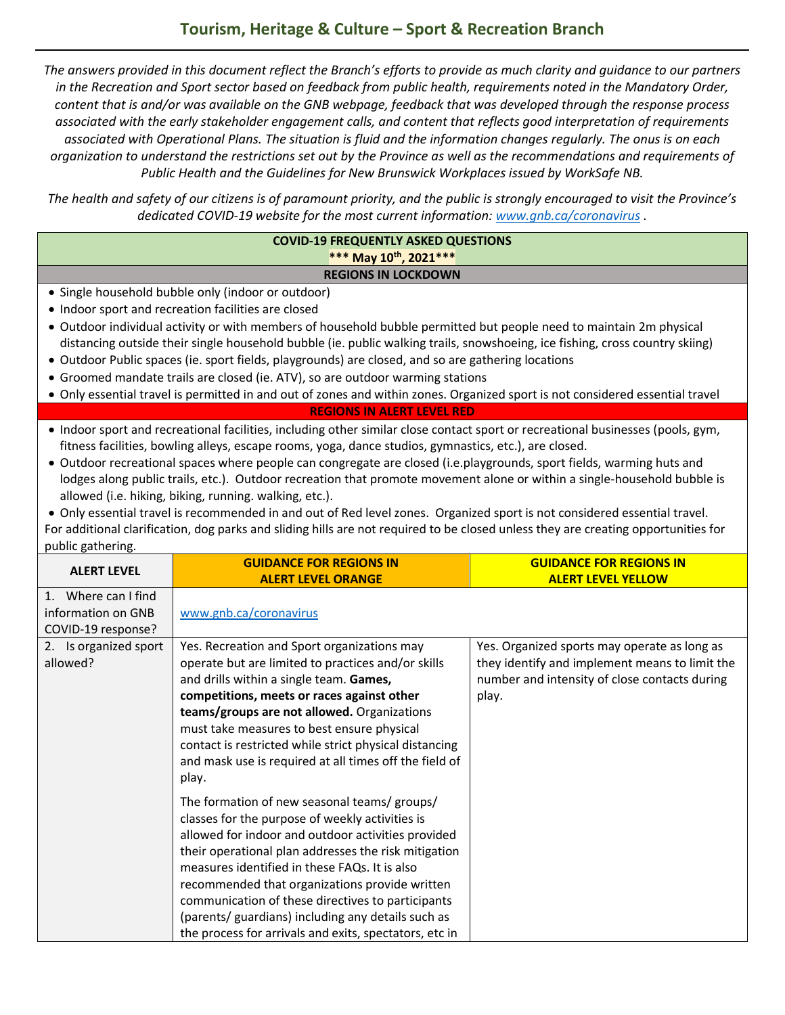*The answers provided in this document reflect the Branch's efforts to provide as much clarity and guidance to our partners in the Recreation and Sport sector based on feedback from public health, requirements noted in the Mandatory Order, content that is and/or was available on the GNB webpage, feedback that was developed through the response process associated with the early stakeholder engagement calls, and content that reflects good interpretation of requirements associated with Operational Plans. The situation is fluid and the information changes regularly. The onus is on each organization to understand the restrictions set out by the Province as well as the recommendations and requirements of Public Health and the Guidelines for New Brunswick Workplaces issued by WorkSafe NB.*

*The health and safety of our citizens is of paramount priority, and the public is strongly encouraged to visit the Province's dedicated COVID-19 website for the most current information[: www.gnb.ca/coronavirus](http://www.gnb.ca/coronavirus) .*

#### **COVID-19 FREQUENTLY ASKED QUESTIONS \*\*\* May 10th , 2021\*\*\* REGIONS IN LOCKDOWN**

- Single household bubble only (indoor or outdoor)
- Indoor sport and recreation facilities are closed
- Outdoor individual activity or with members of household bubble permitted but people need to maintain 2m physical distancing outside their single household bubble (ie. public walking trails, snowshoeing, ice fishing, cross country skiing)
- Outdoor Public spaces (ie. sport fields, playgrounds) are closed, and so are gathering locations
- Groomed mandate trails are closed (ie. ATV), so are outdoor warming stations
- Only essential travel is permitted in and out of zones and within zones. Organized sport is not considered essential travel

**REGIONS IN ALERT LEVEL RED**

- Indoor sport and recreational facilities, including other similar close contact sport or recreational businesses (pools, gym, fitness facilities, bowling alleys, escape rooms, yoga, dance studios, gymnastics, etc.), are closed.
- Outdoor recreational spaces where people can congregate are closed (i.e.playgrounds, sport fields, warming huts and lodges along public trails, etc.). Outdoor recreation that promote movement alone or within a single-household bubble is allowed (i.e. hiking, biking, running. walking, etc.).

• Only essential travel is recommended in and out of Red level zones. Organized sport is not considered essential travel. For additional clarification, dog parks and sliding hills are not required to be closed unless they are creating opportunities for public gathering.

| <b>ALERT LEVEL</b>                                              | <b>GUIDANCE FOR REGIONS IN</b><br><b>ALERT LEVEL ORANGE</b>                                                                                                                                                                                                                                                                                                                                                                                                                                                                                                                                                                                                                                                                                                                                                                                                                                                   | <b>GUIDANCE FOR REGIONS IN</b><br><b>ALERT LEVEL YELLOW</b>                                                                                              |
|-----------------------------------------------------------------|---------------------------------------------------------------------------------------------------------------------------------------------------------------------------------------------------------------------------------------------------------------------------------------------------------------------------------------------------------------------------------------------------------------------------------------------------------------------------------------------------------------------------------------------------------------------------------------------------------------------------------------------------------------------------------------------------------------------------------------------------------------------------------------------------------------------------------------------------------------------------------------------------------------|----------------------------------------------------------------------------------------------------------------------------------------------------------|
| 1. Where can I find<br>information on GNB<br>COVID-19 response? | www.gnb.ca/coronavirus                                                                                                                                                                                                                                                                                                                                                                                                                                                                                                                                                                                                                                                                                                                                                                                                                                                                                        |                                                                                                                                                          |
| 2. Is organized sport<br>allowed?                               | Yes. Recreation and Sport organizations may<br>operate but are limited to practices and/or skills<br>and drills within a single team. Games,<br>competitions, meets or races against other<br>teams/groups are not allowed. Organizations<br>must take measures to best ensure physical<br>contact is restricted while strict physical distancing<br>and mask use is required at all times off the field of<br>play.<br>The formation of new seasonal teams/ groups/<br>classes for the purpose of weekly activities is<br>allowed for indoor and outdoor activities provided<br>their operational plan addresses the risk mitigation<br>measures identified in these FAQs. It is also<br>recommended that organizations provide written<br>communication of these directives to participants<br>(parents/ guardians) including any details such as<br>the process for arrivals and exits, spectators, etc in | Yes. Organized sports may operate as long as<br>they identify and implement means to limit the<br>number and intensity of close contacts during<br>play. |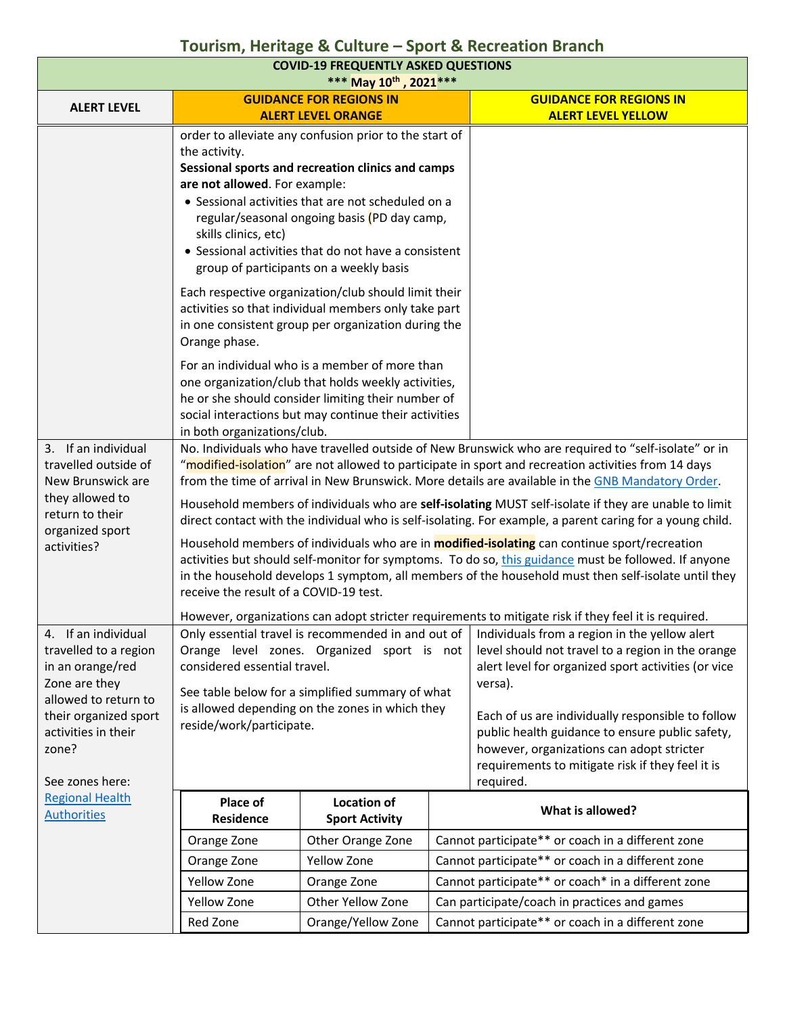| <b>COVID-19 FREQUENTLY ASKED QUESTIONS</b><br>*** May 10th, 2021 ***                                                                                                                  |                                                                                                                                                                                                                                                                                                                                                                                                                                                                                                                                                                                                                                                                                                                                                                                                                                                                                                        |                                                                                                                                                                                                                                                                                                                                                                                                                                                                                                                                                                                                                                                                                                                     |  |                                                                                                                                                                                                                                                                                                                                                                                                                                                       |
|---------------------------------------------------------------------------------------------------------------------------------------------------------------------------------------|--------------------------------------------------------------------------------------------------------------------------------------------------------------------------------------------------------------------------------------------------------------------------------------------------------------------------------------------------------------------------------------------------------------------------------------------------------------------------------------------------------------------------------------------------------------------------------------------------------------------------------------------------------------------------------------------------------------------------------------------------------------------------------------------------------------------------------------------------------------------------------------------------------|---------------------------------------------------------------------------------------------------------------------------------------------------------------------------------------------------------------------------------------------------------------------------------------------------------------------------------------------------------------------------------------------------------------------------------------------------------------------------------------------------------------------------------------------------------------------------------------------------------------------------------------------------------------------------------------------------------------------|--|-------------------------------------------------------------------------------------------------------------------------------------------------------------------------------------------------------------------------------------------------------------------------------------------------------------------------------------------------------------------------------------------------------------------------------------------------------|
| <b>ALERT LEVEL</b>                                                                                                                                                                    |                                                                                                                                                                                                                                                                                                                                                                                                                                                                                                                                                                                                                                                                                                                                                                                                                                                                                                        | <b>GUIDANCE FOR REGIONS IN</b>                                                                                                                                                                                                                                                                                                                                                                                                                                                                                                                                                                                                                                                                                      |  | <b>GUIDANCE FOR REGIONS IN</b>                                                                                                                                                                                                                                                                                                                                                                                                                        |
|                                                                                                                                                                                       |                                                                                                                                                                                                                                                                                                                                                                                                                                                                                                                                                                                                                                                                                                                                                                                                                                                                                                        | <b>ALERT LEVEL ORANGE</b>                                                                                                                                                                                                                                                                                                                                                                                                                                                                                                                                                                                                                                                                                           |  | <b>ALERT LEVEL YELLOW</b>                                                                                                                                                                                                                                                                                                                                                                                                                             |
|                                                                                                                                                                                       | the activity.<br>are not allowed. For example:<br>skills clinics, etc)<br>Orange phase.                                                                                                                                                                                                                                                                                                                                                                                                                                                                                                                                                                                                                                                                                                                                                                                                                | order to alleviate any confusion prior to the start of<br>Sessional sports and recreation clinics and camps<br>• Sessional activities that are not scheduled on a<br>regular/seasonal ongoing basis (PD day camp,<br>• Sessional activities that do not have a consistent<br>group of participants on a weekly basis<br>Each respective organization/club should limit their<br>activities so that individual members only take part<br>in one consistent group per organization during the<br>For an individual who is a member of more than<br>one organization/club that holds weekly activities,<br>he or she should consider limiting their number of<br>social interactions but may continue their activities |  |                                                                                                                                                                                                                                                                                                                                                                                                                                                       |
|                                                                                                                                                                                       | in both organizations/club.                                                                                                                                                                                                                                                                                                                                                                                                                                                                                                                                                                                                                                                                                                                                                                                                                                                                            |                                                                                                                                                                                                                                                                                                                                                                                                                                                                                                                                                                                                                                                                                                                     |  |                                                                                                                                                                                                                                                                                                                                                                                                                                                       |
| 3. If an individual<br>travelled outside of<br>New Brunswick are<br>they allowed to<br>return to their<br>organized sport<br>activities?                                              | No. Individuals who have travelled outside of New Brunswick who are required to "self-isolate" or in<br>"modified-isolation" are not allowed to participate in sport and recreation activities from 14 days<br>from the time of arrival in New Brunswick. More details are available in the GNB Mandatory Order.<br>Household members of individuals who are self-isolating MUST self-isolate if they are unable to limit<br>direct contact with the individual who is self-isolating. For example, a parent caring for a young child.<br>Household members of individuals who are in <b>modified-isolating</b> can continue sport/recreation<br>activities but should self-monitor for symptoms. To do so, this guidance must be followed. If anyone<br>in the household develops 1 symptom, all members of the household must then self-isolate until they<br>receive the result of a COVID-19 test. |                                                                                                                                                                                                                                                                                                                                                                                                                                                                                                                                                                                                                                                                                                                     |  |                                                                                                                                                                                                                                                                                                                                                                                                                                                       |
|                                                                                                                                                                                       |                                                                                                                                                                                                                                                                                                                                                                                                                                                                                                                                                                                                                                                                                                                                                                                                                                                                                                        |                                                                                                                                                                                                                                                                                                                                                                                                                                                                                                                                                                                                                                                                                                                     |  | However, organizations can adopt stricter requirements to mitigate risk if they feel it is required.                                                                                                                                                                                                                                                                                                                                                  |
| 4. If an individual<br>travelled to a region<br>in an orange/red<br>Zone are they<br>allowed to return to<br>their organized sport<br>activities in their<br>zone?<br>See zones here: | considered essential travel.<br>reside/work/participate.                                                                                                                                                                                                                                                                                                                                                                                                                                                                                                                                                                                                                                                                                                                                                                                                                                               | Orange level zones. Organized sport is not<br>See table below for a simplified summary of what<br>is allowed depending on the zones in which they                                                                                                                                                                                                                                                                                                                                                                                                                                                                                                                                                                   |  | Only essential travel is recommended in and out of $\vert$ Individuals from a region in the yellow alert<br>level should not travel to a region in the orange<br>alert level for organized sport activities (or vice<br>versa).<br>Each of us are individually responsible to follow<br>public health guidance to ensure public safety,<br>however, organizations can adopt stricter<br>requirements to mitigate risk if they feel it is<br>required. |
| <b>Regional Health</b><br><b>Authorities</b>                                                                                                                                          | Place of<br><b>Residence</b>                                                                                                                                                                                                                                                                                                                                                                                                                                                                                                                                                                                                                                                                                                                                                                                                                                                                           | <b>Location of</b><br><b>Sport Activity</b>                                                                                                                                                                                                                                                                                                                                                                                                                                                                                                                                                                                                                                                                         |  | What is allowed?                                                                                                                                                                                                                                                                                                                                                                                                                                      |
|                                                                                                                                                                                       | Orange Zone                                                                                                                                                                                                                                                                                                                                                                                                                                                                                                                                                                                                                                                                                                                                                                                                                                                                                            | Other Orange Zone                                                                                                                                                                                                                                                                                                                                                                                                                                                                                                                                                                                                                                                                                                   |  | Cannot participate** or coach in a different zone                                                                                                                                                                                                                                                                                                                                                                                                     |
|                                                                                                                                                                                       | Orange Zone                                                                                                                                                                                                                                                                                                                                                                                                                                                                                                                                                                                                                                                                                                                                                                                                                                                                                            | Yellow Zone                                                                                                                                                                                                                                                                                                                                                                                                                                                                                                                                                                                                                                                                                                         |  | Cannot participate** or coach in a different zone                                                                                                                                                                                                                                                                                                                                                                                                     |
|                                                                                                                                                                                       | Yellow Zone                                                                                                                                                                                                                                                                                                                                                                                                                                                                                                                                                                                                                                                                                                                                                                                                                                                                                            | Orange Zone                                                                                                                                                                                                                                                                                                                                                                                                                                                                                                                                                                                                                                                                                                         |  | Cannot participate** or coach* in a different zone                                                                                                                                                                                                                                                                                                                                                                                                    |
|                                                                                                                                                                                       | Yellow Zone                                                                                                                                                                                                                                                                                                                                                                                                                                                                                                                                                                                                                                                                                                                                                                                                                                                                                            | Other Yellow Zone                                                                                                                                                                                                                                                                                                                                                                                                                                                                                                                                                                                                                                                                                                   |  | Can participate/coach in practices and games                                                                                                                                                                                                                                                                                                                                                                                                          |
|                                                                                                                                                                                       | Red Zone                                                                                                                                                                                                                                                                                                                                                                                                                                                                                                                                                                                                                                                                                                                                                                                                                                                                                               | Orange/Yellow Zone                                                                                                                                                                                                                                                                                                                                                                                                                                                                                                                                                                                                                                                                                                  |  | Cannot participate** or coach in a different zone                                                                                                                                                                                                                                                                                                                                                                                                     |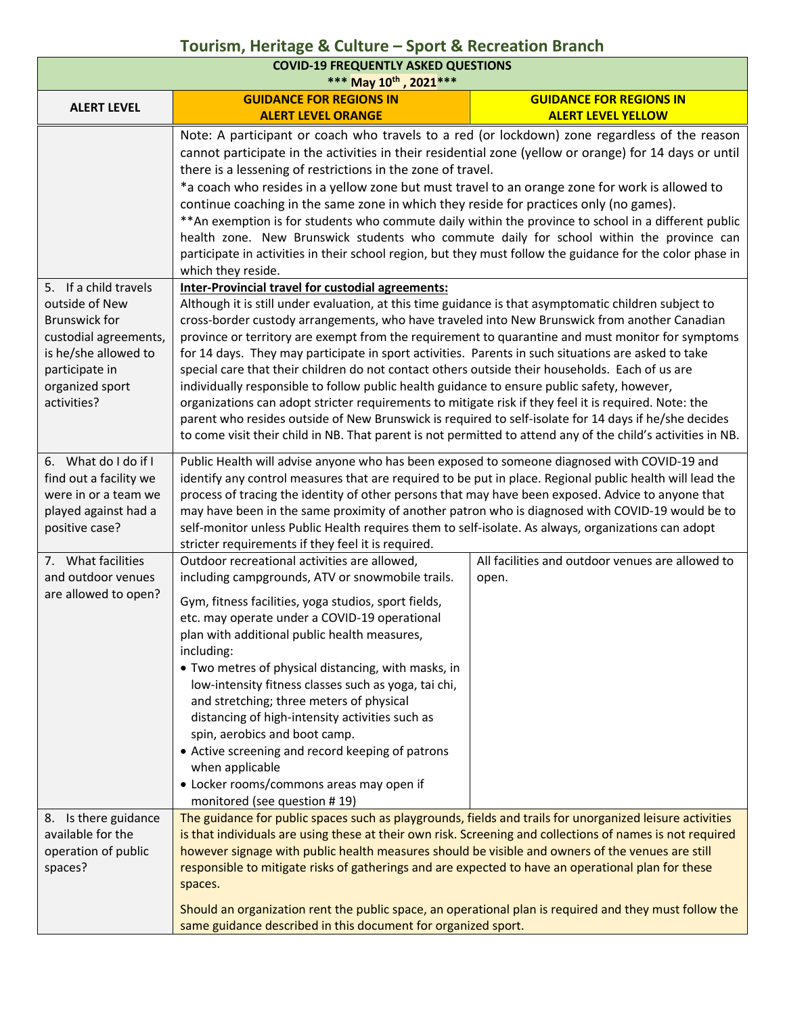| <b>COVID-19 FREQUENTLY ASKED QUESTIONS</b><br>*** May 10th, 2021 ***                                                                                                 |                                                                                                                                                                                                                                                                                                                                                                                                                                                                                                                                                                                                                                                                                                                                                                                                                                                                                                                                                                                                             |                                                             |  |
|----------------------------------------------------------------------------------------------------------------------------------------------------------------------|-------------------------------------------------------------------------------------------------------------------------------------------------------------------------------------------------------------------------------------------------------------------------------------------------------------------------------------------------------------------------------------------------------------------------------------------------------------------------------------------------------------------------------------------------------------------------------------------------------------------------------------------------------------------------------------------------------------------------------------------------------------------------------------------------------------------------------------------------------------------------------------------------------------------------------------------------------------------------------------------------------------|-------------------------------------------------------------|--|
| <b>ALERT LEVEL</b>                                                                                                                                                   | <b>GUIDANCE FOR REGIONS IN</b><br><b>ALERT LEVEL ORANGE</b>                                                                                                                                                                                                                                                                                                                                                                                                                                                                                                                                                                                                                                                                                                                                                                                                                                                                                                                                                 | <b>GUIDANCE FOR REGIONS IN</b><br><b>ALERT LEVEL YELLOW</b> |  |
|                                                                                                                                                                      | Note: A participant or coach who travels to a red (or lockdown) zone regardless of the reason<br>cannot participate in the activities in their residential zone (yellow or orange) for 14 days or until<br>there is a lessening of restrictions in the zone of travel.<br>*a coach who resides in a yellow zone but must travel to an orange zone for work is allowed to<br>continue coaching in the same zone in which they reside for practices only (no games).<br>** An exemption is for students who commute daily within the province to school in a different public<br>health zone. New Brunswick students who commute daily for school within the province can<br>participate in activities in their school region, but they must follow the guidance for the color phase in<br>which they reside.                                                                                                                                                                                                 |                                                             |  |
| 5. If a child travels<br>outside of New<br><b>Brunswick for</b><br>custodial agreements,<br>is he/she allowed to<br>participate in<br>organized sport<br>activities? | Inter-Provincial travel for custodial agreements:<br>Although it is still under evaluation, at this time guidance is that asymptomatic children subject to<br>cross-border custody arrangements, who have traveled into New Brunswick from another Canadian<br>province or territory are exempt from the requirement to quarantine and must monitor for symptoms<br>for 14 days. They may participate in sport activities. Parents in such situations are asked to take<br>special care that their children do not contact others outside their households. Each of us are<br>individually responsible to follow public health guidance to ensure public safety, however,<br>organizations can adopt stricter requirements to mitigate risk if they feel it is required. Note: the<br>parent who resides outside of New Brunswick is required to self-isolate for 14 days if he/she decides<br>to come visit their child in NB. That parent is not permitted to attend any of the child's activities in NB. |                                                             |  |
| 6. What do I do if I<br>find out a facility we<br>were in or a team we<br>played against had a<br>positive case?                                                     | Public Health will advise anyone who has been exposed to someone diagnosed with COVID-19 and<br>identify any control measures that are required to be put in place. Regional public health will lead the<br>process of tracing the identity of other persons that may have been exposed. Advice to anyone that<br>may have been in the same proximity of another patron who is diagnosed with COVID-19 would be to<br>self-monitor unless Public Health requires them to self-isolate. As always, organizations can adopt<br>stricter requirements if they feel it is required.                                                                                                                                                                                                                                                                                                                                                                                                                             |                                                             |  |
| 7. What facilities<br>and outdoor venues<br>are allowed to open?                                                                                                     | Outdoor recreational activities are allowed,<br>including campgrounds, ATV or snowmobile trails.<br>Gym, fitness facilities, yoga studios, sport fields,<br>etc. may operate under a COVID-19 operational<br>plan with additional public health measures,<br>including:<br>• Two metres of physical distancing, with masks, in<br>low-intensity fitness classes such as yoga, tai chi,<br>and stretching; three meters of physical<br>distancing of high-intensity activities such as<br>spin, aerobics and boot camp.<br>• Active screening and record keeping of patrons<br>when applicable<br>• Locker rooms/commons areas may open if<br>monitored (see question #19)                                                                                                                                                                                                                                                                                                                                   | All facilities and outdoor venues are allowed to<br>open.   |  |
| 8. Is there guidance<br>available for the<br>operation of public<br>spaces?                                                                                          | The guidance for public spaces such as playgrounds, fields and trails for unorganized leisure activities<br>is that individuals are using these at their own risk. Screening and collections of names is not required<br>however signage with public health measures should be visible and owners of the venues are still<br>responsible to mitigate risks of gatherings and are expected to have an operational plan for these<br>spaces.<br>Should an organization rent the public space, an operational plan is required and they must follow the<br>same guidance described in this document for organized sport.                                                                                                                                                                                                                                                                                                                                                                                       |                                                             |  |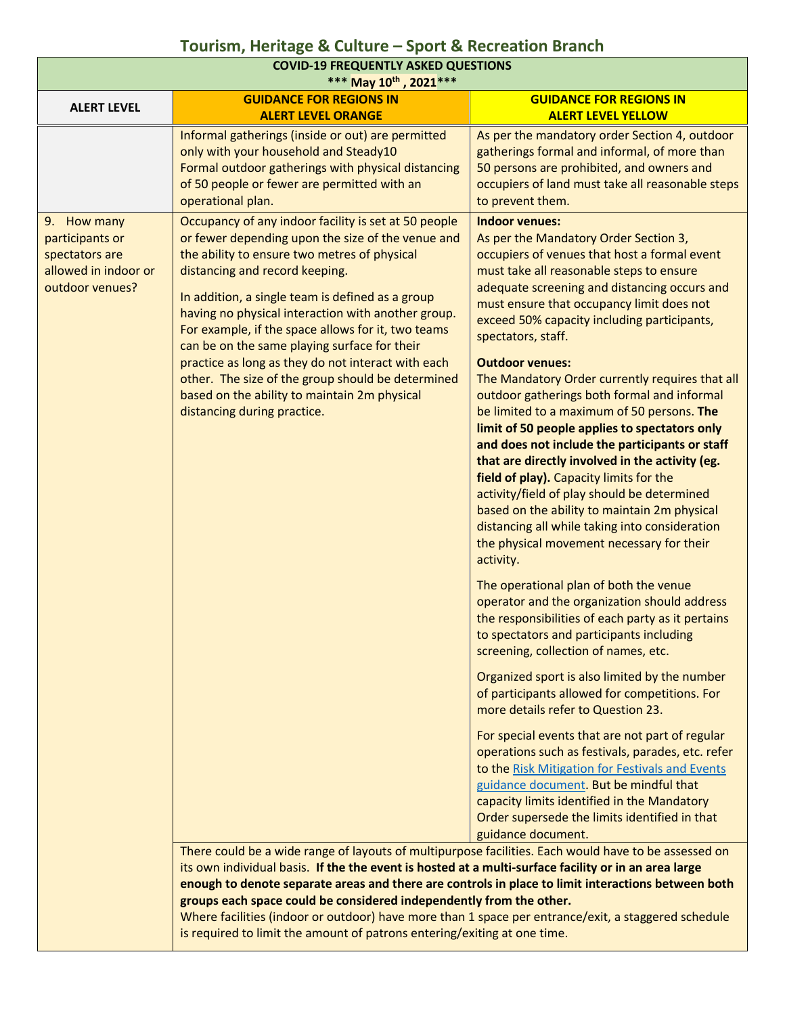| <b>COVID-19 FREQUENTLY ASKED QUESTIONS</b><br>*** May 10th, 2021 ***                        |                                                                                                                                                                                                                                                                                                                                                                                                                                                                                                                                                                                                       |                                                                                                                                                                                                                                                                                                                                                                                                                                                                                                                                                                                                                                                                                                                                                                                                                                                                                                                                                                                                                                                                                                                                                                                                                                                                                                                                                                                                                                                                                                                                                                                                                          |  |
|---------------------------------------------------------------------------------------------|-------------------------------------------------------------------------------------------------------------------------------------------------------------------------------------------------------------------------------------------------------------------------------------------------------------------------------------------------------------------------------------------------------------------------------------------------------------------------------------------------------------------------------------------------------------------------------------------------------|--------------------------------------------------------------------------------------------------------------------------------------------------------------------------------------------------------------------------------------------------------------------------------------------------------------------------------------------------------------------------------------------------------------------------------------------------------------------------------------------------------------------------------------------------------------------------------------------------------------------------------------------------------------------------------------------------------------------------------------------------------------------------------------------------------------------------------------------------------------------------------------------------------------------------------------------------------------------------------------------------------------------------------------------------------------------------------------------------------------------------------------------------------------------------------------------------------------------------------------------------------------------------------------------------------------------------------------------------------------------------------------------------------------------------------------------------------------------------------------------------------------------------------------------------------------------------------------------------------------------------|--|
| <b>ALERT LEVEL</b>                                                                          | <b>GUIDANCE FOR REGIONS IN</b>                                                                                                                                                                                                                                                                                                                                                                                                                                                                                                                                                                        | <b>GUIDANCE FOR REGIONS IN</b>                                                                                                                                                                                                                                                                                                                                                                                                                                                                                                                                                                                                                                                                                                                                                                                                                                                                                                                                                                                                                                                                                                                                                                                                                                                                                                                                                                                                                                                                                                                                                                                           |  |
|                                                                                             | <b>ALERT LEVEL ORANGE</b><br>Informal gatherings (inside or out) are permitted<br>only with your household and Steady10<br>Formal outdoor gatherings with physical distancing<br>of 50 people or fewer are permitted with an<br>operational plan.                                                                                                                                                                                                                                                                                                                                                     | <b>ALERT LEVEL YELLOW</b><br>As per the mandatory order Section 4, outdoor<br>gatherings formal and informal, of more than<br>50 persons are prohibited, and owners and<br>occupiers of land must take all reasonable steps<br>to prevent them.                                                                                                                                                                                                                                                                                                                                                                                                                                                                                                                                                                                                                                                                                                                                                                                                                                                                                                                                                                                                                                                                                                                                                                                                                                                                                                                                                                          |  |
| 9. How many<br>participants or<br>spectators are<br>allowed in indoor or<br>outdoor venues? | Occupancy of any indoor facility is set at 50 people<br>or fewer depending upon the size of the venue and<br>the ability to ensure two metres of physical<br>distancing and record keeping.<br>In addition, a single team is defined as a group<br>having no physical interaction with another group.<br>For example, if the space allows for it, two teams<br>can be on the same playing surface for their<br>practice as long as they do not interact with each<br>other. The size of the group should be determined<br>based on the ability to maintain 2m physical<br>distancing during practice. | <b>Indoor venues:</b><br>As per the Mandatory Order Section 3,<br>occupiers of venues that host a formal event<br>must take all reasonable steps to ensure<br>adequate screening and distancing occurs and<br>must ensure that occupancy limit does not<br>exceed 50% capacity including participants,<br>spectators, staff.<br><b>Outdoor venues:</b><br>The Mandatory Order currently requires that all<br>outdoor gatherings both formal and informal<br>be limited to a maximum of 50 persons. The<br>limit of 50 people applies to spectators only<br>and does not include the participants or staff<br>that are directly involved in the activity (eg.<br>field of play). Capacity limits for the<br>activity/field of play should be determined<br>based on the ability to maintain 2m physical<br>distancing all while taking into consideration<br>the physical movement necessary for their<br>activity.<br>The operational plan of both the venue<br>operator and the organization should address<br>the responsibilities of each party as it pertains<br>to spectators and participants including<br>screening, collection of names, etc.<br>Organized sport is also limited by the number<br>of participants allowed for competitions. For<br>more details refer to Question 23.<br>For special events that are not part of regular<br>operations such as festivals, parades, etc. refer<br>to the Risk Mitigation for Festivals and Events<br>guidance document. But be mindful that<br>capacity limits identified in the Mandatory<br>Order supersede the limits identified in that<br>guidance document. |  |
|                                                                                             | There could be a wide range of layouts of multipurpose facilities. Each would have to be assessed on<br>its own individual basis. If the the event is hosted at a multi-surface facility or in an area large                                                                                                                                                                                                                                                                                                                                                                                          |                                                                                                                                                                                                                                                                                                                                                                                                                                                                                                                                                                                                                                                                                                                                                                                                                                                                                                                                                                                                                                                                                                                                                                                                                                                                                                                                                                                                                                                                                                                                                                                                                          |  |

**enough to denote separate areas and there are controls in place to limit interactions between both groups each space could be considered independently from the other.**  Where facilities (indoor or outdoor) have more than 1 space per entrance/exit, a staggered schedule

is required to limit the amount of patrons entering/exiting at one time.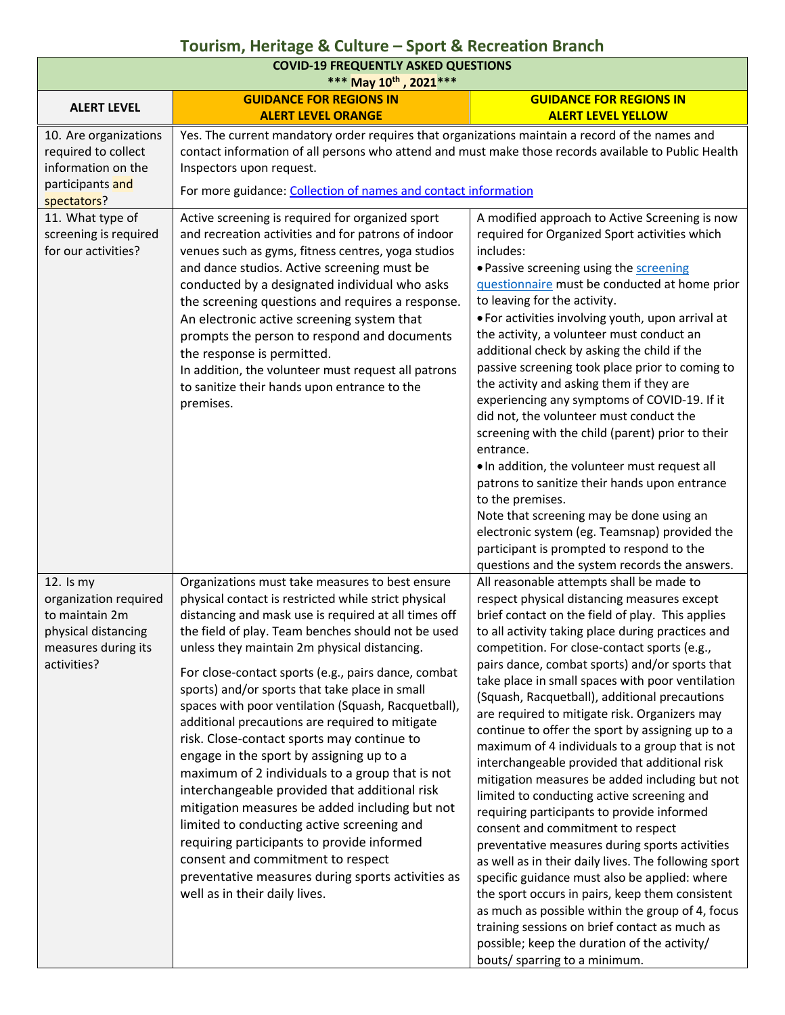| <b>COVID-19 FREQUENTLY ASKED QUESTIONS</b><br>*** May 10th, 2021 ***                                                |                                                                                                                                                                                                                                                                                                                                                                                                                                                                                                                                                                                                                                                                                                                                                                                                                                                                                                                                                                 |                                                                                                                                                                                                                                                                                                                                                                                                                                                                                                                                                                                                                                                                                                                                                                                                                                                                                                                                                                                                                                                                                                                                                                                                         |  |
|---------------------------------------------------------------------------------------------------------------------|-----------------------------------------------------------------------------------------------------------------------------------------------------------------------------------------------------------------------------------------------------------------------------------------------------------------------------------------------------------------------------------------------------------------------------------------------------------------------------------------------------------------------------------------------------------------------------------------------------------------------------------------------------------------------------------------------------------------------------------------------------------------------------------------------------------------------------------------------------------------------------------------------------------------------------------------------------------------|---------------------------------------------------------------------------------------------------------------------------------------------------------------------------------------------------------------------------------------------------------------------------------------------------------------------------------------------------------------------------------------------------------------------------------------------------------------------------------------------------------------------------------------------------------------------------------------------------------------------------------------------------------------------------------------------------------------------------------------------------------------------------------------------------------------------------------------------------------------------------------------------------------------------------------------------------------------------------------------------------------------------------------------------------------------------------------------------------------------------------------------------------------------------------------------------------------|--|
|                                                                                                                     | <b>GUIDANCE FOR REGIONS IN</b>                                                                                                                                                                                                                                                                                                                                                                                                                                                                                                                                                                                                                                                                                                                                                                                                                                                                                                                                  | <b>GUIDANCE FOR REGIONS IN</b>                                                                                                                                                                                                                                                                                                                                                                                                                                                                                                                                                                                                                                                                                                                                                                                                                                                                                                                                                                                                                                                                                                                                                                          |  |
| <b>ALERT LEVEL</b>                                                                                                  | <b>ALERT LEVEL ORANGE</b>                                                                                                                                                                                                                                                                                                                                                                                                                                                                                                                                                                                                                                                                                                                                                                                                                                                                                                                                       | <b>ALERT LEVEL YELLOW</b>                                                                                                                                                                                                                                                                                                                                                                                                                                                                                                                                                                                                                                                                                                                                                                                                                                                                                                                                                                                                                                                                                                                                                                               |  |
| 10. Are organizations<br>required to collect<br>information on the<br>participants and<br>spectators?               | Yes. The current mandatory order requires that organizations maintain a record of the names and<br>contact information of all persons who attend and must make those records available to Public Health<br>Inspectors upon request.<br>For more guidance: Collection of names and contact information                                                                                                                                                                                                                                                                                                                                                                                                                                                                                                                                                                                                                                                           |                                                                                                                                                                                                                                                                                                                                                                                                                                                                                                                                                                                                                                                                                                                                                                                                                                                                                                                                                                                                                                                                                                                                                                                                         |  |
| 11. What type of<br>screening is required<br>for our activities?                                                    | Active screening is required for organized sport<br>and recreation activities and for patrons of indoor<br>venues such as gyms, fitness centres, yoga studios<br>and dance studios. Active screening must be<br>conducted by a designated individual who asks<br>the screening questions and requires a response.<br>An electronic active screening system that<br>prompts the person to respond and documents<br>the response is permitted.<br>In addition, the volunteer must request all patrons<br>to sanitize their hands upon entrance to the<br>premises.                                                                                                                                                                                                                                                                                                                                                                                                | A modified approach to Active Screening is now<br>required for Organized Sport activities which<br>includes:<br>. Passive screening using the screening<br>questionnaire must be conducted at home prior<br>to leaving for the activity.<br>• For activities involving youth, upon arrival at<br>the activity, a volunteer must conduct an<br>additional check by asking the child if the<br>passive screening took place prior to coming to<br>the activity and asking them if they are<br>experiencing any symptoms of COVID-19. If it<br>did not, the volunteer must conduct the<br>screening with the child (parent) prior to their<br>entrance.<br>. In addition, the volunteer must request all<br>patrons to sanitize their hands upon entrance<br>to the premises.<br>Note that screening may be done using an<br>electronic system (eg. Teamsnap) provided the<br>participant is prompted to respond to the                                                                                                                                                                                                                                                                                    |  |
|                                                                                                                     |                                                                                                                                                                                                                                                                                                                                                                                                                                                                                                                                                                                                                                                                                                                                                                                                                                                                                                                                                                 | questions and the system records the answers.                                                                                                                                                                                                                                                                                                                                                                                                                                                                                                                                                                                                                                                                                                                                                                                                                                                                                                                                                                                                                                                                                                                                                           |  |
| $12.$ Is my<br>organization required<br>to maintain 2m<br>physical distancing<br>measures during its<br>activities? | Organizations must take measures to best ensure<br>physical contact is restricted while strict physical<br>distancing and mask use is required at all times off<br>the field of play. Team benches should not be used<br>unless they maintain 2m physical distancing.<br>For close-contact sports (e.g., pairs dance, combat<br>sports) and/or sports that take place in small<br>spaces with poor ventilation (Squash, Racquetball),<br>additional precautions are required to mitigate<br>risk. Close-contact sports may continue to<br>engage in the sport by assigning up to a<br>maximum of 2 individuals to a group that is not<br>interchangeable provided that additional risk<br>mitigation measures be added including but not<br>limited to conducting active screening and<br>requiring participants to provide informed<br>consent and commitment to respect<br>preventative measures during sports activities as<br>well as in their daily lives. | All reasonable attempts shall be made to<br>respect physical distancing measures except<br>brief contact on the field of play. This applies<br>to all activity taking place during practices and<br>competition. For close-contact sports (e.g.,<br>pairs dance, combat sports) and/or sports that<br>take place in small spaces with poor ventilation<br>(Squash, Racquetball), additional precautions<br>are required to mitigate risk. Organizers may<br>continue to offer the sport by assigning up to a<br>maximum of 4 individuals to a group that is not<br>interchangeable provided that additional risk<br>mitigation measures be added including but not<br>limited to conducting active screening and<br>requiring participants to provide informed<br>consent and commitment to respect<br>preventative measures during sports activities<br>as well as in their daily lives. The following sport<br>specific guidance must also be applied: where<br>the sport occurs in pairs, keep them consistent<br>as much as possible within the group of 4, focus<br>training sessions on brief contact as much as<br>possible; keep the duration of the activity/<br>bouts/ sparring to a minimum. |  |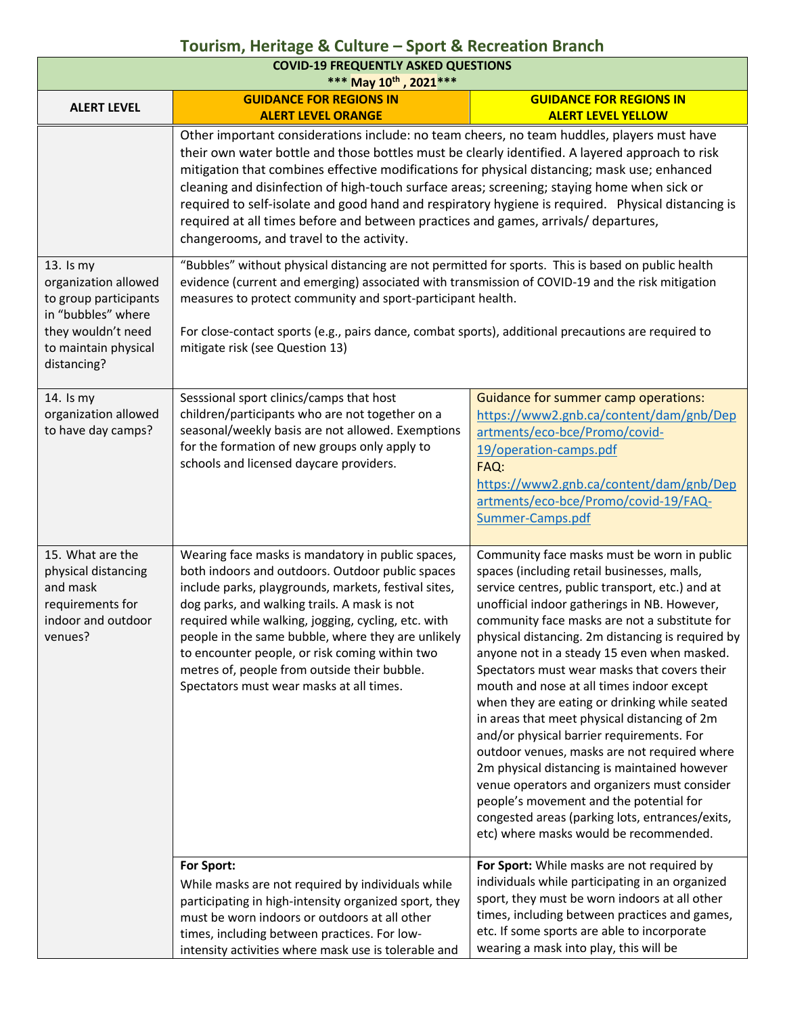| <b>COVID-19 FREQUENTLY ASKED QUESTIONS</b><br>*** May 10th, 2021 ***                                                                          |                                                                                                                                                                                                                                                                                                                                                                                                                                                                                                                                                                                                                                       |                                                                                                                                                                                                                                                                                                                                                                                                                                                                                                                                                                                                                                                                                                                                                                                                                                                                                       |  |
|-----------------------------------------------------------------------------------------------------------------------------------------------|---------------------------------------------------------------------------------------------------------------------------------------------------------------------------------------------------------------------------------------------------------------------------------------------------------------------------------------------------------------------------------------------------------------------------------------------------------------------------------------------------------------------------------------------------------------------------------------------------------------------------------------|---------------------------------------------------------------------------------------------------------------------------------------------------------------------------------------------------------------------------------------------------------------------------------------------------------------------------------------------------------------------------------------------------------------------------------------------------------------------------------------------------------------------------------------------------------------------------------------------------------------------------------------------------------------------------------------------------------------------------------------------------------------------------------------------------------------------------------------------------------------------------------------|--|
| <b>ALERT LEVEL</b>                                                                                                                            | <b>GUIDANCE FOR REGIONS IN</b><br><b>GUIDANCE FOR REGIONS IN</b><br><b>ALERT LEVEL YELLOW</b><br><b>ALERT LEVEL ORANGE</b>                                                                                                                                                                                                                                                                                                                                                                                                                                                                                                            |                                                                                                                                                                                                                                                                                                                                                                                                                                                                                                                                                                                                                                                                                                                                                                                                                                                                                       |  |
|                                                                                                                                               | Other important considerations include: no team cheers, no team huddles, players must have<br>their own water bottle and those bottles must be clearly identified. A layered approach to risk<br>mitigation that combines effective modifications for physical distancing; mask use; enhanced<br>cleaning and disinfection of high-touch surface areas; screening; staying home when sick or<br>required to self-isolate and good hand and respiratory hygiene is required. Physical distancing is<br>required at all times before and between practices and games, arrivals/ departures,<br>changerooms, and travel to the activity. |                                                                                                                                                                                                                                                                                                                                                                                                                                                                                                                                                                                                                                                                                                                                                                                                                                                                                       |  |
| 13. Is my<br>organization allowed<br>to group participants<br>in "bubbles" where<br>they wouldn't need<br>to maintain physical<br>distancing? | "Bubbles" without physical distancing are not permitted for sports. This is based on public health<br>evidence (current and emerging) associated with transmission of COVID-19 and the risk mitigation<br>measures to protect community and sport-participant health.<br>For close-contact sports (e.g., pairs dance, combat sports), additional precautions are required to<br>mitigate risk (see Question 13)                                                                                                                                                                                                                       |                                                                                                                                                                                                                                                                                                                                                                                                                                                                                                                                                                                                                                                                                                                                                                                                                                                                                       |  |
| 14. Is my<br>organization allowed<br>to have day camps?                                                                                       | Sesssional sport clinics/camps that host<br>children/participants who are not together on a<br>seasonal/weekly basis are not allowed. Exemptions<br>for the formation of new groups only apply to<br>schools and licensed daycare providers.                                                                                                                                                                                                                                                                                                                                                                                          | Guidance for summer camp operations:<br>https://www2.gnb.ca/content/dam/gnb/Dep<br>artments/eco-bce/Promo/covid-<br>19/operation-camps.pdf<br>FAQ:<br>https://www2.gnb.ca/content/dam/gnb/Dep<br>artments/eco-bce/Promo/covid-19/FAQ-<br>Summer-Camps.pdf                                                                                                                                                                                                                                                                                                                                                                                                                                                                                                                                                                                                                             |  |
| 15. What are the<br>physical distancing<br>and mask<br>requirements for<br>indoor and outdoor<br>venues?                                      | Wearing face masks is mandatory in public spaces,<br>both indoors and outdoors. Outdoor public spaces<br>include parks, playgrounds, markets, festival sites,<br>dog parks, and walking trails. A mask is not<br>required while walking, jogging, cycling, etc. with<br>people in the same bubble, where they are unlikely<br>to encounter people, or risk coming within two<br>metres of, people from outside their bubble.<br>Spectators must wear masks at all times.                                                                                                                                                              | Community face masks must be worn in public<br>spaces (including retail businesses, malls,<br>service centres, public transport, etc.) and at<br>unofficial indoor gatherings in NB. However,<br>community face masks are not a substitute for<br>physical distancing. 2m distancing is required by<br>anyone not in a steady 15 even when masked.<br>Spectators must wear masks that covers their<br>mouth and nose at all times indoor except<br>when they are eating or drinking while seated<br>in areas that meet physical distancing of 2m<br>and/or physical barrier requirements. For<br>outdoor venues, masks are not required where<br>2m physical distancing is maintained however<br>venue operators and organizers must consider<br>people's movement and the potential for<br>congested areas (parking lots, entrances/exits,<br>etc) where masks would be recommended. |  |
|                                                                                                                                               | For Sport:<br>While masks are not required by individuals while<br>participating in high-intensity organized sport, they<br>must be worn indoors or outdoors at all other<br>times, including between practices. For low-<br>intensity activities where mask use is tolerable and                                                                                                                                                                                                                                                                                                                                                     | For Sport: While masks are not required by<br>individuals while participating in an organized<br>sport, they must be worn indoors at all other<br>times, including between practices and games,<br>etc. If some sports are able to incorporate<br>wearing a mask into play, this will be                                                                                                                                                                                                                                                                                                                                                                                                                                                                                                                                                                                              |  |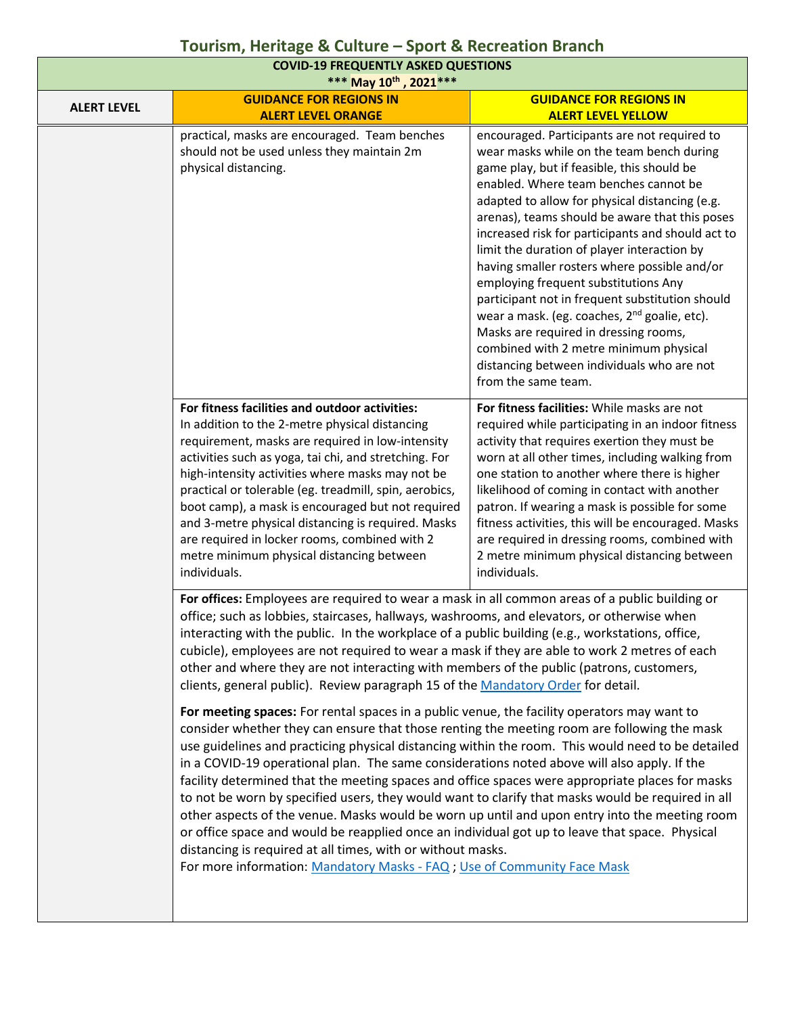| <b>COVID-19 FREQUENTLY ASKED QUESTIONS</b><br>*** May 10th, 2021 *** |                                                                                                                                                                                                                                                                                                                                                                                                                                                                                                                                                                                                                                                                                                                                                                                                                                                                                                                                                     |                                                                                                                                                                                                                                                                                                                                                                                                                                                                                                                                                                                                                                                                                                                                                                                      |  |
|----------------------------------------------------------------------|-----------------------------------------------------------------------------------------------------------------------------------------------------------------------------------------------------------------------------------------------------------------------------------------------------------------------------------------------------------------------------------------------------------------------------------------------------------------------------------------------------------------------------------------------------------------------------------------------------------------------------------------------------------------------------------------------------------------------------------------------------------------------------------------------------------------------------------------------------------------------------------------------------------------------------------------------------|--------------------------------------------------------------------------------------------------------------------------------------------------------------------------------------------------------------------------------------------------------------------------------------------------------------------------------------------------------------------------------------------------------------------------------------------------------------------------------------------------------------------------------------------------------------------------------------------------------------------------------------------------------------------------------------------------------------------------------------------------------------------------------------|--|
| <b>ALERT LEVEL</b>                                                   | <b>GUIDANCE FOR REGIONS IN</b>                                                                                                                                                                                                                                                                                                                                                                                                                                                                                                                                                                                                                                                                                                                                                                                                                                                                                                                      | <b>GUIDANCE FOR REGIONS IN</b>                                                                                                                                                                                                                                                                                                                                                                                                                                                                                                                                                                                                                                                                                                                                                       |  |
|                                                                      | <b>ALERT LEVEL ORANGE</b><br>practical, masks are encouraged. Team benches<br>should not be used unless they maintain 2m<br>physical distancing.                                                                                                                                                                                                                                                                                                                                                                                                                                                                                                                                                                                                                                                                                                                                                                                                    | <b>ALERT LEVEL YELLOW</b><br>encouraged. Participants are not required to<br>wear masks while on the team bench during<br>game play, but if feasible, this should be<br>enabled. Where team benches cannot be<br>adapted to allow for physical distancing (e.g.<br>arenas), teams should be aware that this poses<br>increased risk for participants and should act to<br>limit the duration of player interaction by<br>having smaller rosters where possible and/or<br>employing frequent substitutions Any<br>participant not in frequent substitution should<br>wear a mask. (eg. coaches, 2 <sup>nd</sup> goalie, etc).<br>Masks are required in dressing rooms,<br>combined with 2 metre minimum physical<br>distancing between individuals who are not<br>from the same team. |  |
|                                                                      | For fitness facilities and outdoor activities:<br>In addition to the 2-metre physical distancing<br>requirement, masks are required in low-intensity<br>activities such as yoga, tai chi, and stretching. For<br>high-intensity activities where masks may not be<br>practical or tolerable (eg. treadmill, spin, aerobics,<br>boot camp), a mask is encouraged but not required<br>and 3-metre physical distancing is required. Masks<br>are required in locker rooms, combined with 2<br>metre minimum physical distancing between<br>individuals.                                                                                                                                                                                                                                                                                                                                                                                                | For fitness facilities: While masks are not<br>required while participating in an indoor fitness<br>activity that requires exertion they must be<br>worn at all other times, including walking from<br>one station to another where there is higher<br>likelihood of coming in contact with another<br>patron. If wearing a mask is possible for some<br>fitness activities, this will be encouraged. Masks<br>are required in dressing rooms, combined with<br>2 metre minimum physical distancing between<br>individuals.                                                                                                                                                                                                                                                          |  |
|                                                                      | For offices: Employees are required to wear a mask in all common areas of a public building or<br>office; such as lobbies, staircases, hallways, washrooms, and elevators, or otherwise when<br>interacting with the public. In the workplace of a public building (e.g., workstations, office,<br>cubicle), employees are not required to wear a mask if they are able to work 2 metres of each<br>other and where they are not interacting with members of the public (patrons, customers,<br>clients, general public). Review paragraph 15 of the Mandatory Order for detail.                                                                                                                                                                                                                                                                                                                                                                    |                                                                                                                                                                                                                                                                                                                                                                                                                                                                                                                                                                                                                                                                                                                                                                                      |  |
|                                                                      | For meeting spaces: For rental spaces in a public venue, the facility operators may want to<br>consider whether they can ensure that those renting the meeting room are following the mask<br>use guidelines and practicing physical distancing within the room. This would need to be detailed<br>in a COVID-19 operational plan. The same considerations noted above will also apply. If the<br>facility determined that the meeting spaces and office spaces were appropriate places for masks<br>to not be worn by specified users, they would want to clarify that masks would be required in all<br>other aspects of the venue. Masks would be worn up until and upon entry into the meeting room<br>or office space and would be reapplied once an individual got up to leave that space. Physical<br>distancing is required at all times, with or without masks.<br>For more information: Mandatory Masks - FAQ; Use of Community Face Mask |                                                                                                                                                                                                                                                                                                                                                                                                                                                                                                                                                                                                                                                                                                                                                                                      |  |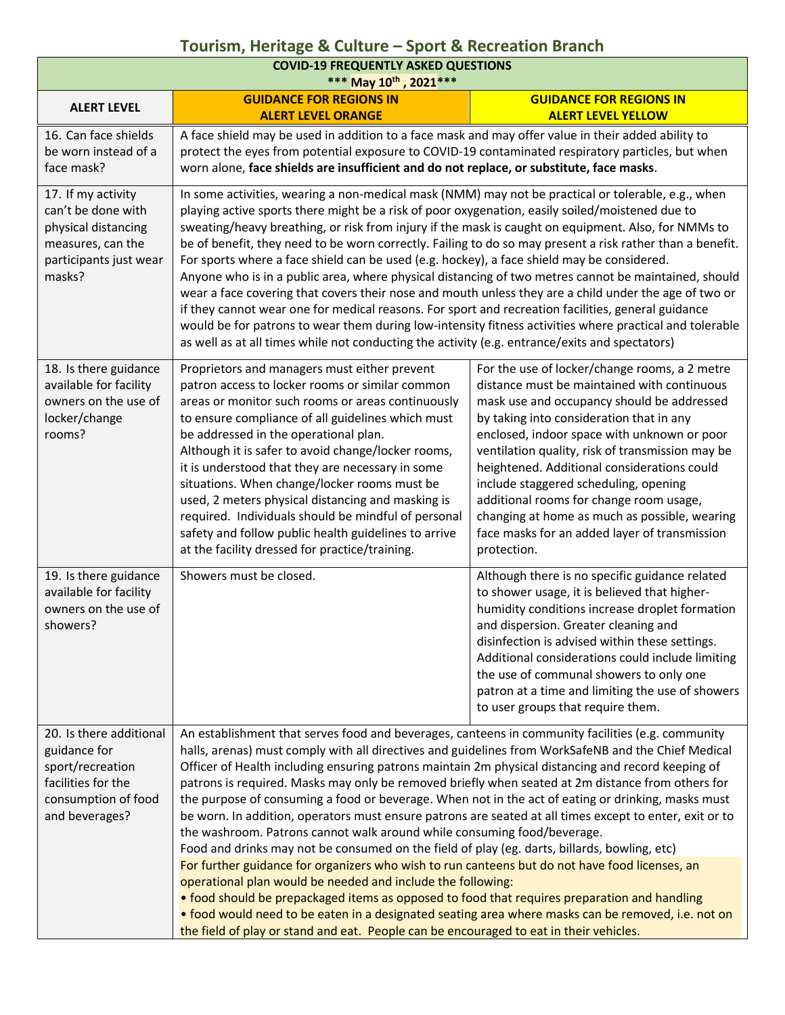| <b>COVID-19 FREQUENTLY ASKED QUESTIONS</b><br>*** May 10th, 2021 ***                                                       |                                                                                                                                                                                                                                                                                                                                                                                                                                                                                                                                                                                                                                                                                                                                                                                                                                                                                                                                                                                                                                                                                                                                                                                                                                                                                  |                                                                                                                                                                                                                                                                                                                                                                                                                                                                                                                                               |  |
|----------------------------------------------------------------------------------------------------------------------------|----------------------------------------------------------------------------------------------------------------------------------------------------------------------------------------------------------------------------------------------------------------------------------------------------------------------------------------------------------------------------------------------------------------------------------------------------------------------------------------------------------------------------------------------------------------------------------------------------------------------------------------------------------------------------------------------------------------------------------------------------------------------------------------------------------------------------------------------------------------------------------------------------------------------------------------------------------------------------------------------------------------------------------------------------------------------------------------------------------------------------------------------------------------------------------------------------------------------------------------------------------------------------------|-----------------------------------------------------------------------------------------------------------------------------------------------------------------------------------------------------------------------------------------------------------------------------------------------------------------------------------------------------------------------------------------------------------------------------------------------------------------------------------------------------------------------------------------------|--|
| <b>ALERT LEVEL</b>                                                                                                         | <b>GUIDANCE FOR REGIONS IN</b><br><b>GUIDANCE FOR REGIONS IN</b>                                                                                                                                                                                                                                                                                                                                                                                                                                                                                                                                                                                                                                                                                                                                                                                                                                                                                                                                                                                                                                                                                                                                                                                                                 |                                                                                                                                                                                                                                                                                                                                                                                                                                                                                                                                               |  |
| 16. Can face shields<br>be worn instead of a<br>face mask?                                                                 | <b>ALERT LEVEL ORANGE</b><br>A face shield may be used in addition to a face mask and may offer value in their added ability to<br>protect the eyes from potential exposure to COVID-19 contaminated respiratory particles, but when<br>worn alone, face shields are insufficient and do not replace, or substitute, face masks.                                                                                                                                                                                                                                                                                                                                                                                                                                                                                                                                                                                                                                                                                                                                                                                                                                                                                                                                                 | <b>ALERT LEVEL YELLOW</b>                                                                                                                                                                                                                                                                                                                                                                                                                                                                                                                     |  |
| 17. If my activity<br>can't be done with<br>physical distancing<br>measures, can the<br>participants just wear<br>masks?   | In some activities, wearing a non-medical mask (NMM) may not be practical or tolerable, e.g., when<br>playing active sports there might be a risk of poor oxygenation, easily soiled/moistened due to<br>sweating/heavy breathing, or risk from injury if the mask is caught on equipment. Also, for NMMs to<br>be of benefit, they need to be worn correctly. Failing to do so may present a risk rather than a benefit.<br>For sports where a face shield can be used (e.g. hockey), a face shield may be considered.<br>Anyone who is in a public area, where physical distancing of two metres cannot be maintained, should<br>wear a face covering that covers their nose and mouth unless they are a child under the age of two or<br>if they cannot wear one for medical reasons. For sport and recreation facilities, general guidance<br>would be for patrons to wear them during low-intensity fitness activities where practical and tolerable<br>as well as at all times while not conducting the activity (e.g. entrance/exits and spectators)                                                                                                                                                                                                                      |                                                                                                                                                                                                                                                                                                                                                                                                                                                                                                                                               |  |
| 18. Is there guidance<br>available for facility<br>owners on the use of<br>locker/change<br>rooms?                         | Proprietors and managers must either prevent<br>patron access to locker rooms or similar common<br>areas or monitor such rooms or areas continuously<br>to ensure compliance of all guidelines which must<br>be addressed in the operational plan.<br>Although it is safer to avoid change/locker rooms,<br>it is understood that they are necessary in some<br>situations. When change/locker rooms must be<br>used, 2 meters physical distancing and masking is<br>required. Individuals should be mindful of personal<br>safety and follow public health guidelines to arrive<br>at the facility dressed for practice/training.                                                                                                                                                                                                                                                                                                                                                                                                                                                                                                                                                                                                                                               | For the use of locker/change rooms, a 2 metre<br>distance must be maintained with continuous<br>mask use and occupancy should be addressed<br>by taking into consideration that in any<br>enclosed, indoor space with unknown or poor<br>ventilation quality, risk of transmission may be<br>heightened. Additional considerations could<br>include staggered scheduling, opening<br>additional rooms for change room usage,<br>changing at home as much as possible, wearing<br>face masks for an added layer of transmission<br>protection. |  |
| 19. Is there guidance<br>available for facility<br>owners on the use of<br>showers?                                        | Showers must be closed.                                                                                                                                                                                                                                                                                                                                                                                                                                                                                                                                                                                                                                                                                                                                                                                                                                                                                                                                                                                                                                                                                                                                                                                                                                                          | Although there is no specific guidance related<br>to shower usage, it is believed that higher-<br>humidity conditions increase droplet formation<br>and dispersion. Greater cleaning and<br>disinfection is advised within these settings.<br>Additional considerations could include limiting<br>the use of communal showers to only one<br>patron at a time and limiting the use of showers<br>to user groups that require them.                                                                                                            |  |
| 20. Is there additional<br>guidance for<br>sport/recreation<br>facilities for the<br>consumption of food<br>and beverages? | An establishment that serves food and beverages, canteens in community facilities (e.g. community<br>halls, arenas) must comply with all directives and guidelines from WorkSafeNB and the Chief Medical<br>Officer of Health including ensuring patrons maintain 2m physical distancing and record keeping of<br>patrons is required. Masks may only be removed briefly when seated at 2m distance from others for<br>the purpose of consuming a food or beverage. When not in the act of eating or drinking, masks must<br>be worn. In addition, operators must ensure patrons are seated at all times except to enter, exit or to<br>the washroom. Patrons cannot walk around while consuming food/beverage.<br>Food and drinks may not be consumed on the field of play (eg. darts, billards, bowling, etc)<br>For further guidance for organizers who wish to run canteens but do not have food licenses, an<br>operational plan would be needed and include the following:<br>• food should be prepackaged items as opposed to food that requires preparation and handling<br>• food would need to be eaten in a designated seating area where masks can be removed, i.e. not on<br>the field of play or stand and eat. People can be encouraged to eat in their vehicles. |                                                                                                                                                                                                                                                                                                                                                                                                                                                                                                                                               |  |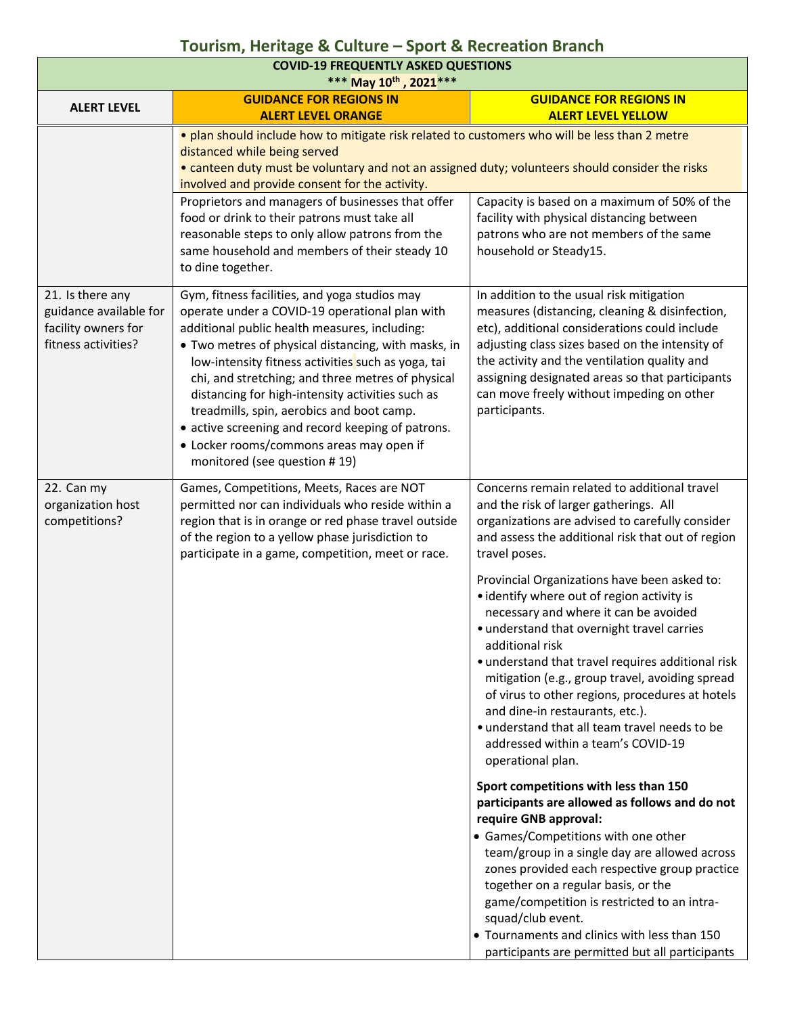| <b>COVID-19 FREQUENTLY ASKED QUESTIONS</b><br>*** May 10th, 2021 ***                     |                                                                                                                                                                                                                                                                                                                                                                                                                                                                                                                                                      |                                                                                                                                                                                                                                                                                                                                                                                                                                                                                                                                                                                                                                                                                                                                                                                                                                                       |  |
|------------------------------------------------------------------------------------------|------------------------------------------------------------------------------------------------------------------------------------------------------------------------------------------------------------------------------------------------------------------------------------------------------------------------------------------------------------------------------------------------------------------------------------------------------------------------------------------------------------------------------------------------------|-------------------------------------------------------------------------------------------------------------------------------------------------------------------------------------------------------------------------------------------------------------------------------------------------------------------------------------------------------------------------------------------------------------------------------------------------------------------------------------------------------------------------------------------------------------------------------------------------------------------------------------------------------------------------------------------------------------------------------------------------------------------------------------------------------------------------------------------------------|--|
| <b>ALERT LEVEL</b>                                                                       | <b>GUIDANCE FOR REGIONS IN</b>                                                                                                                                                                                                                                                                                                                                                                                                                                                                                                                       | <b>GUIDANCE FOR REGIONS IN</b>                                                                                                                                                                                                                                                                                                                                                                                                                                                                                                                                                                                                                                                                                                                                                                                                                        |  |
|                                                                                          | <b>ALERT LEVEL ORANGE</b><br><b>ALERT LEVEL YELLOW</b><br>. plan should include how to mitigate risk related to customers who will be less than 2 metre<br>distanced while being served<br>• canteen duty must be voluntary and not an assigned duty; volunteers should consider the risks<br>involved and provide consent for the activity.                                                                                                                                                                                                         |                                                                                                                                                                                                                                                                                                                                                                                                                                                                                                                                                                                                                                                                                                                                                                                                                                                       |  |
|                                                                                          | Proprietors and managers of businesses that offer<br>food or drink to their patrons must take all<br>reasonable steps to only allow patrons from the<br>same household and members of their steady 10<br>to dine together.                                                                                                                                                                                                                                                                                                                           | Capacity is based on a maximum of 50% of the<br>facility with physical distancing between<br>patrons who are not members of the same<br>household or Steady15.                                                                                                                                                                                                                                                                                                                                                                                                                                                                                                                                                                                                                                                                                        |  |
| 21. Is there any<br>guidance available for<br>facility owners for<br>fitness activities? | Gym, fitness facilities, and yoga studios may<br>operate under a COVID-19 operational plan with<br>additional public health measures, including:<br>• Two metres of physical distancing, with masks, in<br>low-intensity fitness activities such as yoga, tai<br>chi, and stretching; and three metres of physical<br>distancing for high-intensity activities such as<br>treadmills, spin, aerobics and boot camp.<br>• active screening and record keeping of patrons.<br>• Locker rooms/commons areas may open if<br>monitored (see question #19) | In addition to the usual risk mitigation<br>measures (distancing, cleaning & disinfection,<br>etc), additional considerations could include<br>adjusting class sizes based on the intensity of<br>the activity and the ventilation quality and<br>assigning designated areas so that participants<br>can move freely without impeding on other<br>participants.                                                                                                                                                                                                                                                                                                                                                                                                                                                                                       |  |
| 22. Can my<br>organization host<br>competitions?                                         | Games, Competitions, Meets, Races are NOT<br>permitted nor can individuals who reside within a<br>region that is in orange or red phase travel outside<br>of the region to a yellow phase jurisdiction to<br>participate in a game, competition, meet or race.                                                                                                                                                                                                                                                                                       | Concerns remain related to additional travel<br>and the risk of larger gatherings. All<br>organizations are advised to carefully consider<br>and assess the additional risk that out of region<br>travel poses.<br>Provincial Organizations have been asked to:<br>• identify where out of region activity is<br>necessary and where it can be avoided<br>· understand that overnight travel carries<br>additional risk<br>· understand that travel requires additional risk<br>mitigation (e.g., group travel, avoiding spread<br>of virus to other regions, procedures at hotels<br>and dine-in restaurants, etc.).<br>· understand that all team travel needs to be<br>addressed within a team's COVID-19<br>operational plan.<br>Sport competitions with less than 150<br>participants are allowed as follows and do not<br>require GNB approval: |  |
|                                                                                          |                                                                                                                                                                                                                                                                                                                                                                                                                                                                                                                                                      | • Games/Competitions with one other<br>team/group in a single day are allowed across<br>zones provided each respective group practice<br>together on a regular basis, or the<br>game/competition is restricted to an intra-<br>squad/club event.<br>• Tournaments and clinics with less than 150<br>participants are permitted but all participants                                                                                                                                                                                                                                                                                                                                                                                                                                                                                                   |  |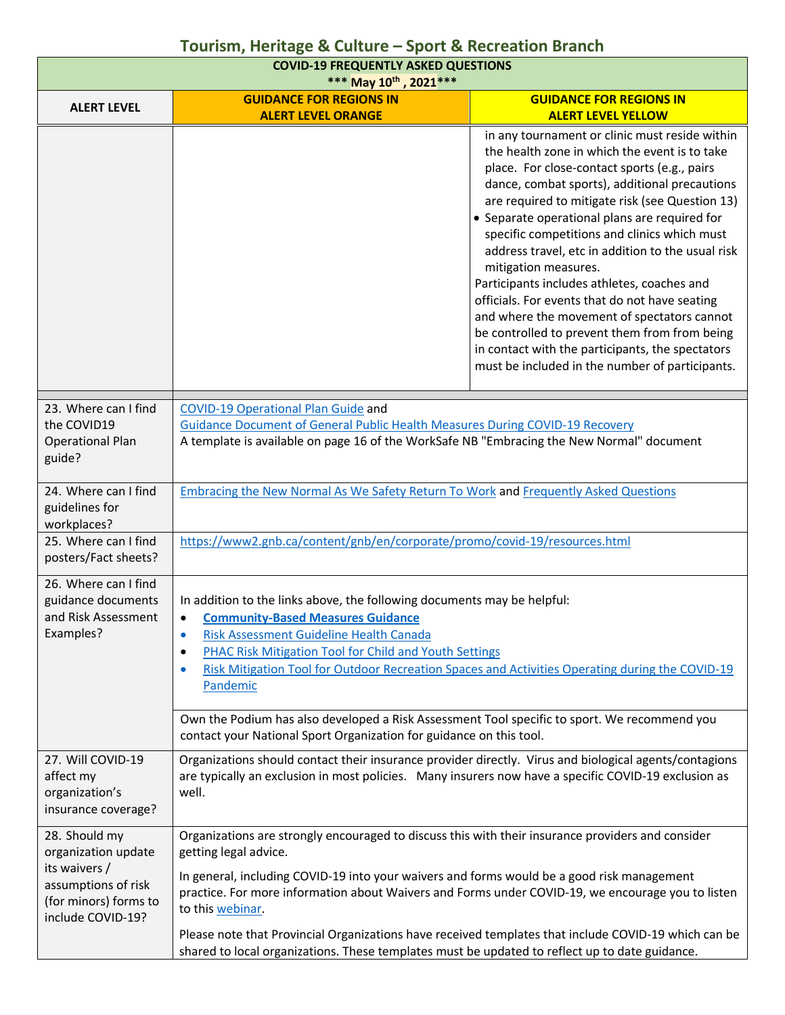| <b>COVID-19 FREQUENTLY ASKED QUESTIONS</b><br>*** May 10th, 2021 ***                                                       |                                                                                                                                                                                                                                                                                                                                                                                                                                                                                                                                                             |                                                                                                                                                                                                                                                                                                                                                                                                                                                                                                                                                                                                                                                                                                                                           |  |
|----------------------------------------------------------------------------------------------------------------------------|-------------------------------------------------------------------------------------------------------------------------------------------------------------------------------------------------------------------------------------------------------------------------------------------------------------------------------------------------------------------------------------------------------------------------------------------------------------------------------------------------------------------------------------------------------------|-------------------------------------------------------------------------------------------------------------------------------------------------------------------------------------------------------------------------------------------------------------------------------------------------------------------------------------------------------------------------------------------------------------------------------------------------------------------------------------------------------------------------------------------------------------------------------------------------------------------------------------------------------------------------------------------------------------------------------------------|--|
| <b>ALERT LEVEL</b>                                                                                                         | <b>GUIDANCE FOR REGIONS IN</b><br><b>ALERT LEVEL ORANGE</b>                                                                                                                                                                                                                                                                                                                                                                                                                                                                                                 | <b>GUIDANCE FOR REGIONS IN</b><br><b>ALERT LEVEL YELLOW</b>                                                                                                                                                                                                                                                                                                                                                                                                                                                                                                                                                                                                                                                                               |  |
|                                                                                                                            |                                                                                                                                                                                                                                                                                                                                                                                                                                                                                                                                                             | in any tournament or clinic must reside within<br>the health zone in which the event is to take<br>place. For close-contact sports (e.g., pairs<br>dance, combat sports), additional precautions<br>are required to mitigate risk (see Question 13)<br>• Separate operational plans are required for<br>specific competitions and clinics which must<br>address travel, etc in addition to the usual risk<br>mitigation measures.<br>Participants includes athletes, coaches and<br>officials. For events that do not have seating<br>and where the movement of spectators cannot<br>be controlled to prevent them from from being<br>in contact with the participants, the spectators<br>must be included in the number of participants. |  |
| 23. Where can I find<br>the COVID19<br><b>Operational Plan</b><br>guide?                                                   | <b>COVID-19 Operational Plan Guide and</b><br><b>Guidance Document of General Public Health Measures During COVID-19 Recovery</b><br>A template is available on page 16 of the WorkSafe NB "Embracing the New Normal" document                                                                                                                                                                                                                                                                                                                              |                                                                                                                                                                                                                                                                                                                                                                                                                                                                                                                                                                                                                                                                                                                                           |  |
| 24. Where can I find<br>guidelines for<br>workplaces?                                                                      | Embracing the New Normal As We Safety Return To Work and Frequently Asked Questions                                                                                                                                                                                                                                                                                                                                                                                                                                                                         |                                                                                                                                                                                                                                                                                                                                                                                                                                                                                                                                                                                                                                                                                                                                           |  |
| 25. Where can I find<br>posters/Fact sheets?                                                                               | https://www2.gnb.ca/content/gnb/en/corporate/promo/covid-19/resources.html                                                                                                                                                                                                                                                                                                                                                                                                                                                                                  |                                                                                                                                                                                                                                                                                                                                                                                                                                                                                                                                                                                                                                                                                                                                           |  |
| 26. Where can I find<br>guidance documents<br>and Risk Assessment<br>Examples?                                             | In addition to the links above, the following documents may be helpful:<br><b>Community-Based Measures Guidance</b><br>$\bullet$<br>Risk Assessment Guideline Health Canada<br>PHAC Risk Mitigation Tool for Child and Youth Settings<br>٠<br>Risk Mitigation Tool for Outdoor Recreation Spaces and Activities Operating during the COVID-19<br>$\bullet$<br>Pandemic                                                                                                                                                                                      |                                                                                                                                                                                                                                                                                                                                                                                                                                                                                                                                                                                                                                                                                                                                           |  |
|                                                                                                                            | Own the Podium has also developed a Risk Assessment Tool specific to sport. We recommend you<br>contact your National Sport Organization for guidance on this tool.                                                                                                                                                                                                                                                                                                                                                                                         |                                                                                                                                                                                                                                                                                                                                                                                                                                                                                                                                                                                                                                                                                                                                           |  |
| 27. Will COVID-19<br>affect my<br>organization's<br>insurance coverage?                                                    | Organizations should contact their insurance provider directly. Virus and biological agents/contagions<br>are typically an exclusion in most policies. Many insurers now have a specific COVID-19 exclusion as<br>well.                                                                                                                                                                                                                                                                                                                                     |                                                                                                                                                                                                                                                                                                                                                                                                                                                                                                                                                                                                                                                                                                                                           |  |
| 28. Should my<br>organization update<br>its waivers /<br>assumptions of risk<br>(for minors) forms to<br>include COVID-19? | Organizations are strongly encouraged to discuss this with their insurance providers and consider<br>getting legal advice.<br>In general, including COVID-19 into your waivers and forms would be a good risk management<br>practice. For more information about Waivers and Forms under COVID-19, we encourage you to listen<br>to this webinar.<br>Please note that Provincial Organizations have received templates that include COVID-19 which can be<br>shared to local organizations. These templates must be updated to reflect up to date guidance. |                                                                                                                                                                                                                                                                                                                                                                                                                                                                                                                                                                                                                                                                                                                                           |  |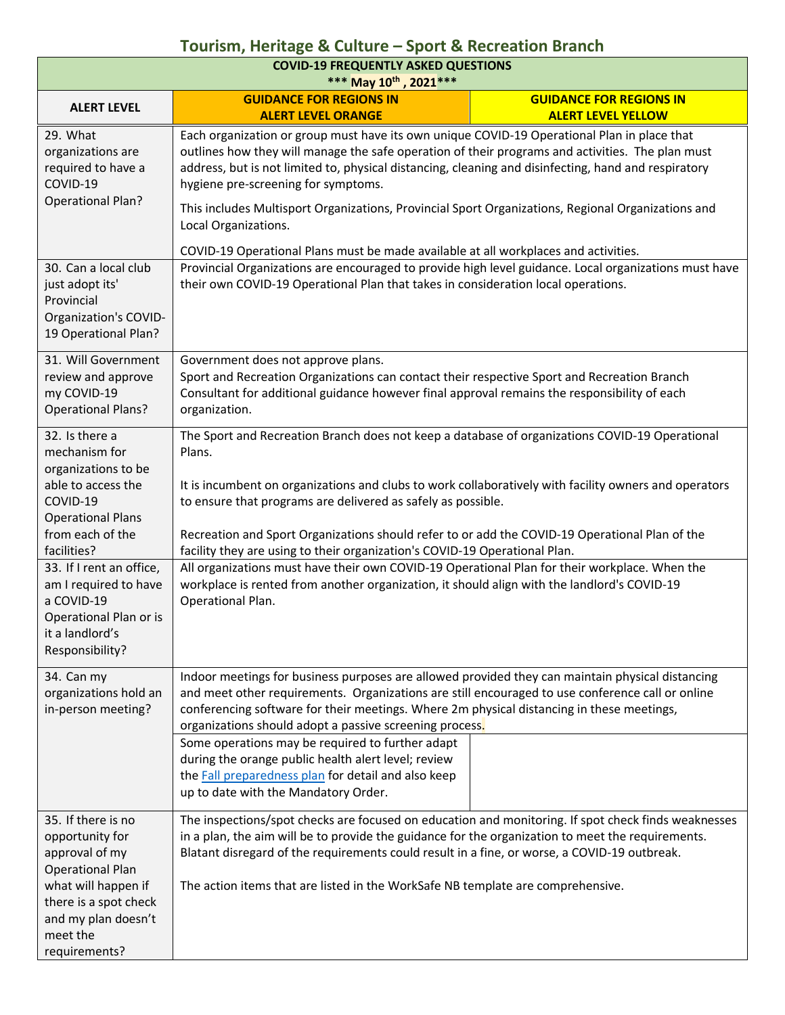| <b>COVID-19 FREQUENTLY ASKED QUESTIONS</b><br>*** May 10th, 2021 ***                                                                                                                                                       |                                                                                                                                                                                                                                                                                                                                                                                                                                                                                                                                                                                                                                                                                        |  |  |  |
|----------------------------------------------------------------------------------------------------------------------------------------------------------------------------------------------------------------------------|----------------------------------------------------------------------------------------------------------------------------------------------------------------------------------------------------------------------------------------------------------------------------------------------------------------------------------------------------------------------------------------------------------------------------------------------------------------------------------------------------------------------------------------------------------------------------------------------------------------------------------------------------------------------------------------|--|--|--|
| <b>ALERT LEVEL</b>                                                                                                                                                                                                         | <b>GUIDANCE FOR REGIONS IN</b><br><b>GUIDANCE FOR REGIONS IN</b><br><b>ALERT LEVEL ORANGE</b><br><b>ALERT LEVEL YELLOW</b>                                                                                                                                                                                                                                                                                                                                                                                                                                                                                                                                                             |  |  |  |
| 29. What<br>organizations are<br>required to have a<br>COVID-19<br><b>Operational Plan?</b>                                                                                                                                | Each organization or group must have its own unique COVID-19 Operational Plan in place that<br>outlines how they will manage the safe operation of their programs and activities. The plan must<br>address, but is not limited to, physical distancing, cleaning and disinfecting, hand and respiratory<br>hygiene pre-screening for symptoms.<br>This includes Multisport Organizations, Provincial Sport Organizations, Regional Organizations and<br>Local Organizations.<br>COVID-19 Operational Plans must be made available at all workplaces and activities.                                                                                                                    |  |  |  |
| 30. Can a local club<br>just adopt its'<br>Provincial<br>Organization's COVID-<br>19 Operational Plan?                                                                                                                     | Provincial Organizations are encouraged to provide high level guidance. Local organizations must have<br>their own COVID-19 Operational Plan that takes in consideration local operations.                                                                                                                                                                                                                                                                                                                                                                                                                                                                                             |  |  |  |
| 31. Will Government<br>review and approve<br>my COVID-19<br><b>Operational Plans?</b>                                                                                                                                      | Government does not approve plans.<br>Sport and Recreation Organizations can contact their respective Sport and Recreation Branch<br>Consultant for additional guidance however final approval remains the responsibility of each<br>organization.                                                                                                                                                                                                                                                                                                                                                                                                                                     |  |  |  |
| 32. Is there a<br>mechanism for<br>organizations to be<br>able to access the<br>COVID-19<br><b>Operational Plans</b><br>from each of the<br>facilities?<br>33. If I rent an office,<br>am I required to have<br>a COVID-19 | The Sport and Recreation Branch does not keep a database of organizations COVID-19 Operational<br>Plans.<br>It is incumbent on organizations and clubs to work collaboratively with facility owners and operators<br>to ensure that programs are delivered as safely as possible.<br>Recreation and Sport Organizations should refer to or add the COVID-19 Operational Plan of the<br>facility they are using to their organization's COVID-19 Operational Plan.<br>All organizations must have their own COVID-19 Operational Plan for their workplace. When the<br>workplace is rented from another organization, it should align with the landlord's COVID-19<br>Operational Plan. |  |  |  |
| Operational Plan or is<br>it a landlord's<br>Responsibility?                                                                                                                                                               |                                                                                                                                                                                                                                                                                                                                                                                                                                                                                                                                                                                                                                                                                        |  |  |  |
| 34. Can my<br>organizations hold an<br>in-person meeting?                                                                                                                                                                  | Indoor meetings for business purposes are allowed provided they can maintain physical distancing<br>and meet other requirements. Organizations are still encouraged to use conference call or online<br>conferencing software for their meetings. Where 2m physical distancing in these meetings,<br>organizations should adopt a passive screening process.                                                                                                                                                                                                                                                                                                                           |  |  |  |
|                                                                                                                                                                                                                            | Some operations may be required to further adapt<br>during the orange public health alert level; review<br>the <b>Fall preparedness plan</b> for detail and also keep<br>up to date with the Mandatory Order.                                                                                                                                                                                                                                                                                                                                                                                                                                                                          |  |  |  |
| 35. If there is no<br>opportunity for<br>approval of my<br><b>Operational Plan</b><br>what will happen if<br>there is a spot check<br>and my plan doesn't<br>meet the<br>requirements?                                     | The inspections/spot checks are focused on education and monitoring. If spot check finds weaknesses<br>in a plan, the aim will be to provide the guidance for the organization to meet the requirements.<br>Blatant disregard of the requirements could result in a fine, or worse, a COVID-19 outbreak.<br>The action items that are listed in the WorkSafe NB template are comprehensive.                                                                                                                                                                                                                                                                                            |  |  |  |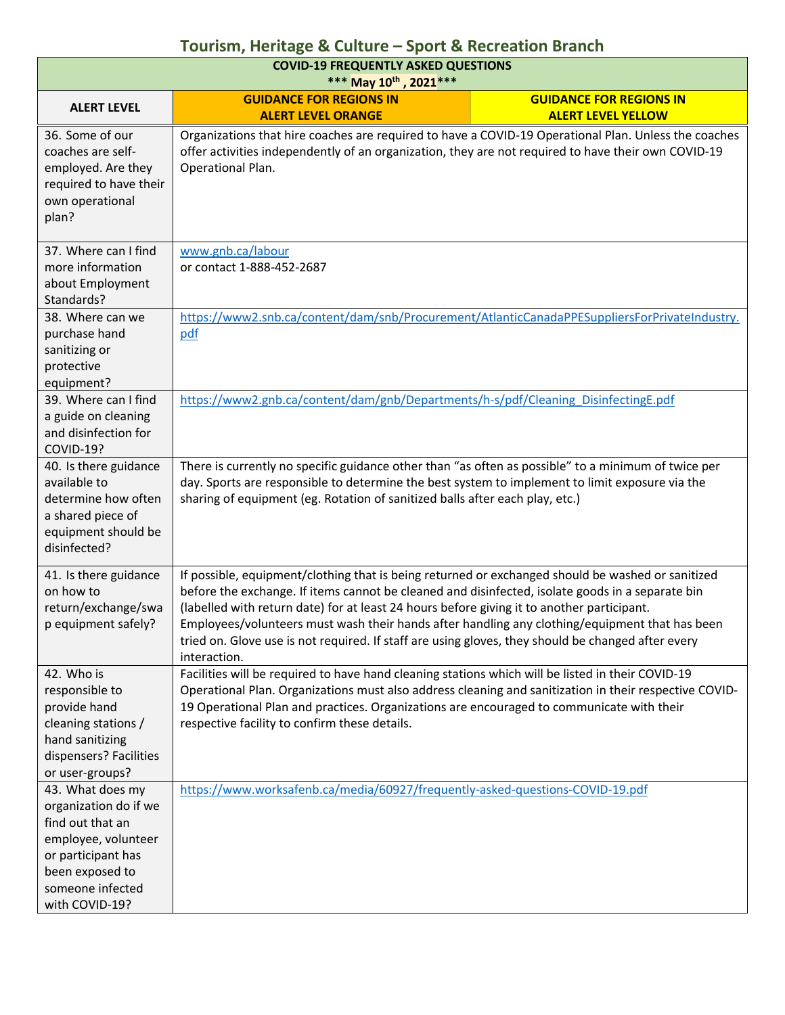| <b>COVID-19 FREQUENTLY ASKED QUESTIONS</b><br>*** May 10th, 2021 ***                                                                                                |                                                                                                                                                                                                                                                                                                                                                                                                                                                                                                                             |  |  |
|---------------------------------------------------------------------------------------------------------------------------------------------------------------------|-----------------------------------------------------------------------------------------------------------------------------------------------------------------------------------------------------------------------------------------------------------------------------------------------------------------------------------------------------------------------------------------------------------------------------------------------------------------------------------------------------------------------------|--|--|
| <b>ALERT LEVEL</b>                                                                                                                                                  | <b>GUIDANCE FOR REGIONS IN</b><br><b>GUIDANCE FOR REGIONS IN</b><br><b>ALERT LEVEL ORANGE</b><br><b>ALERT LEVEL YELLOW</b>                                                                                                                                                                                                                                                                                                                                                                                                  |  |  |
| 36. Some of our<br>coaches are self-<br>employed. Are they<br>required to have their<br>own operational<br>plan?                                                    | Organizations that hire coaches are required to have a COVID-19 Operational Plan. Unless the coaches<br>offer activities independently of an organization, they are not required to have their own COVID-19<br>Operational Plan.                                                                                                                                                                                                                                                                                            |  |  |
| 37. Where can I find<br>more information<br>about Employment<br>Standards?                                                                                          | www.gnb.ca/labour<br>or contact 1-888-452-2687                                                                                                                                                                                                                                                                                                                                                                                                                                                                              |  |  |
| 38. Where can we<br>purchase hand<br>sanitizing or<br>protective<br>equipment?                                                                                      | https://www2.snb.ca/content/dam/snb/Procurement/AtlanticCanadaPPESuppliersForPrivateIndustry.<br>pdf                                                                                                                                                                                                                                                                                                                                                                                                                        |  |  |
| 39. Where can I find<br>a guide on cleaning<br>and disinfection for<br>COVID-19?                                                                                    | https://www2.gnb.ca/content/dam/gnb/Departments/h-s/pdf/Cleaning DisinfectingE.pdf                                                                                                                                                                                                                                                                                                                                                                                                                                          |  |  |
| 40. Is there guidance<br>available to<br>determine how often<br>a shared piece of<br>equipment should be<br>disinfected?                                            | There is currently no specific guidance other than "as often as possible" to a minimum of twice per<br>day. Sports are responsible to determine the best system to implement to limit exposure via the<br>sharing of equipment (eg. Rotation of sanitized balls after each play, etc.)                                                                                                                                                                                                                                      |  |  |
| 41. Is there guidance<br>on how to<br>return/exchange/swa<br>p equipment safely?                                                                                    | If possible, equipment/clothing that is being returned or exchanged should be washed or sanitized<br>before the exchange. If items cannot be cleaned and disinfected, isolate goods in a separate bin<br>(labelled with return date) for at least 24 hours before giving it to another participant.<br>Employees/volunteers must wash their hands after handling any clothing/equipment that has been<br>tried on. Glove use is not required. If staff are using gloves, they should be changed after every<br>interaction. |  |  |
| 42. Who is<br>responsible to<br>provide hand<br>cleaning stations /<br>hand sanitizing<br>dispensers? Facilities<br>or user-groups?                                 | Facilities will be required to have hand cleaning stations which will be listed in their COVID-19<br>Operational Plan. Organizations must also address cleaning and sanitization in their respective COVID-<br>19 Operational Plan and practices. Organizations are encouraged to communicate with their<br>respective facility to confirm these details.                                                                                                                                                                   |  |  |
| 43. What does my<br>organization do if we<br>find out that an<br>employee, volunteer<br>or participant has<br>been exposed to<br>someone infected<br>with COVID-19? | https://www.worksafenb.ca/media/60927/frequently-asked-questions-COVID-19.pdf                                                                                                                                                                                                                                                                                                                                                                                                                                               |  |  |